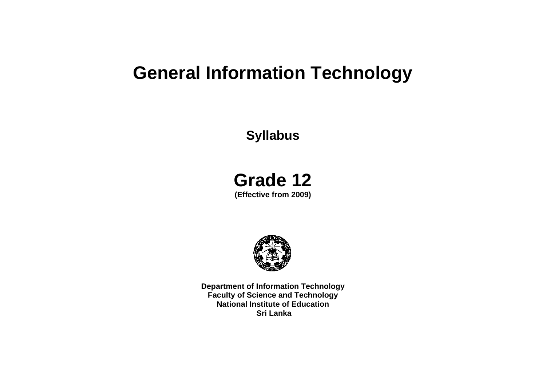# **General Information Technology**

## **Syllabus**

# **Grade 12**

**(Effective from 2009)** 



**Department of Information Technology Faculty of Science and Technology National Institute of Education Sri Lanka**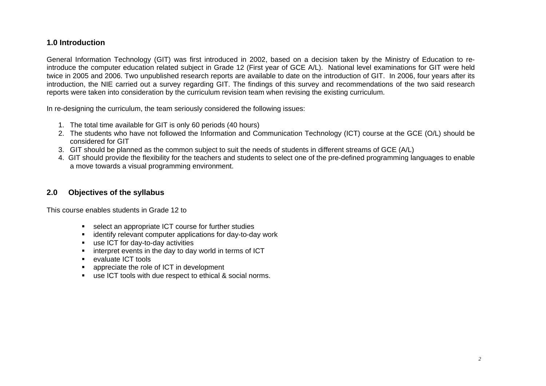## **1.0 Introduction**

General Information Technology (GIT) was first introduced in 2002, based on a decision taken by the Ministry of Education to reintroduce the computer education related subject in Grade 12 (First year of GCE A/L). National level examinations for GIT were held twice in 2005 and 2006. Two unpublished research reports are available to date on the introduction of GIT. In 2006, four years after its introduction, the NIE carried out a survey regarding GIT. The findings of this survey and recommendations of the two said research reports were taken into consideration by the curriculum revision team when revising the existing curriculum.

In re-designing the curriculum, the team seriously considered the following issues:

- 1. The total time available for GIT is only 60 periods (40 hours)
- 2. The students who have not followed the Information and Communication Technology (ICT) course at the GCE (O/L) should be considered for GIT
- 3. GIT should be planned as the common subject to suit the needs of students in different streams of GCE (A/L)
- 4. GIT should provide the flexibility for the teachers and students to select one of the pre-defined programming languages to enable a move towards a visual programming environment.

## **2.0 Objectives of the syllabus**

This course enables students in Grade 12 to

- select an appropriate ICT course for further studies
- **EXEDENTIFY** relevant computer applications for day-to-day work
- use ICT for day-to-day activities
- **EXTERN** interpret events in the day to day world in terms of ICT
- evaluate ICT tools
- appreciate the role of ICT in development
- use ICT tools with due respect to ethical & social norms.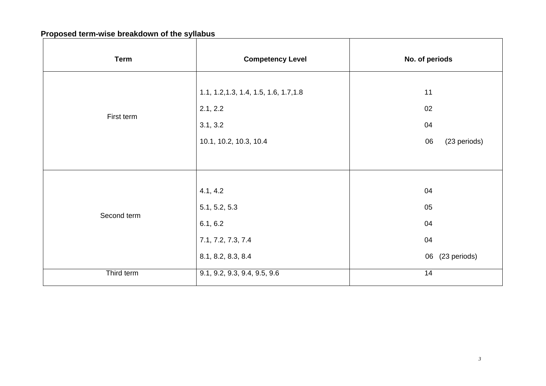## **Proposed term-wise breakdown of the syllabus**

| <b>Term</b> | <b>Competency Level</b>                | No. of periods     |
|-------------|----------------------------------------|--------------------|
|             | 1.1, 1.2, 1.3, 1.4, 1.5, 1.6, 1.7, 1.8 | 11                 |
| First term  | 2.1, 2.2                               | 02                 |
|             | 3.1, 3.2                               | 04                 |
|             | 10.1, 10.2, 10.3, 10.4                 | (23 periods)<br>06 |
|             |                                        |                    |
|             |                                        |                    |
|             | 4.1, 4.2                               | 04                 |
| Second term | 5.1, 5.2, 5.3                          | 05                 |
|             | 6.1, 6.2                               | 04                 |
|             | 7.1, 7.2, 7.3, 7.4                     | 04                 |
|             | 8.1, 8.2, 8.3, 8.4                     | (23 periods)<br>06 |
| Third term  | 9.1, 9.2, 9.3, 9.4, 9.5, 9.6           | 14                 |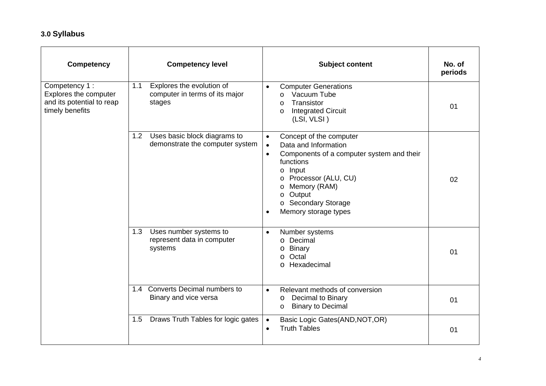## **3.0 Syllabus**

| <b>Competency</b>                                                                      |     | <b>Competency level</b>                                               |                                                  | <b>Subject content</b>                                                                                                                                                                                                                | No. of<br>periods |
|----------------------------------------------------------------------------------------|-----|-----------------------------------------------------------------------|--------------------------------------------------|---------------------------------------------------------------------------------------------------------------------------------------------------------------------------------------------------------------------------------------|-------------------|
| Competency 1:<br>Explores the computer<br>and its potential to reap<br>timely benefits | 1.1 | Explores the evolution of<br>computer in terms of its major<br>stages | $\bullet$                                        | <b>Computer Generations</b><br>Vacuum Tube<br>$\Omega$<br>Transistor<br>$\Omega$<br><b>Integrated Circuit</b><br>0<br>(LSI, VLSI)                                                                                                     | 01                |
|                                                                                        | 1.2 | Uses basic block diagrams to<br>demonstrate the computer system       | $\bullet$<br>$\bullet$<br>$\bullet$<br>$\bullet$ | Concept of the computer<br>Data and Information<br>Components of a computer system and their<br>functions<br>$o$ Input<br>o Processor (ALU, CU)<br>Memory (RAM)<br>$\circ$<br>o Output<br>o Secondary Storage<br>Memory storage types | 02                |
|                                                                                        | 1.3 | Uses number systems to<br>represent data in computer<br>systems       | $\bullet$                                        | Number systems<br>o Decimal<br>Binary<br>$\circ$<br>Octal<br>$\Omega$<br>o Hexadecimal                                                                                                                                                | 01                |
|                                                                                        |     | 1.4 Converts Decimal numbers to<br>Binary and vice versa              | $\bullet$                                        | Relevant methods of conversion<br>Decimal to Binary<br>O<br><b>Binary to Decimal</b><br>$\circ$                                                                                                                                       | 01                |
|                                                                                        | 1.5 | Draws Truth Tables for logic gates                                    | $\bullet$<br>$\bullet$                           | Basic Logic Gates(AND, NOT, OR)<br><b>Truth Tables</b>                                                                                                                                                                                | 01                |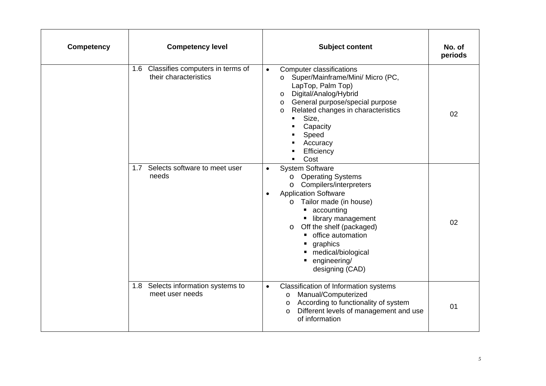| <b>Competency</b> | <b>Competency level</b>                                          | <b>Subject content</b>                                                                                                                                                                                                                                                                                                                                         | No. of<br>periods |
|-------------------|------------------------------------------------------------------|----------------------------------------------------------------------------------------------------------------------------------------------------------------------------------------------------------------------------------------------------------------------------------------------------------------------------------------------------------------|-------------------|
|                   | Classifies computers in terms of<br>1.6<br>their characteristics | <b>Computer classifications</b><br>$\bullet$<br>Super/Mainframe/Mini/ Micro (PC,<br>$\circ$<br>LapTop, Palm Top)<br>Digital/Analog/Hybrid<br>$\circ$<br>General purpose/special purpose<br>$\circ$<br>Related changes in characteristics<br>$\circ$<br>Size,<br>$\mathbf{E}^{\text{max}}$<br>Capacity<br>Speed<br>Accuracy<br>Efficiency<br>Cost               | 02                |
|                   | 1.7 Selects software to meet user<br>needs                       | <b>System Software</b><br>$\bullet$<br><b>Operating Systems</b><br>$\circ$<br>Compilers/interpreters<br>$\circ$<br><b>Application Software</b><br>$\bullet$<br>o Tailor made (in house)<br>accounting<br>library management<br>Off the shelf (packaged)<br>$\circ$<br>• office automation<br>graphics<br>medical/biological<br>engineering/<br>designing (CAD) | 02                |
|                   | 1.8 Selects information systems to<br>meet user needs            | Classification of Information systems<br>$\bullet$<br>Manual/Computerized<br>$\circ$<br>o According to functionality of system<br>Different levels of management and use<br>$\circ$<br>of information                                                                                                                                                          | 01                |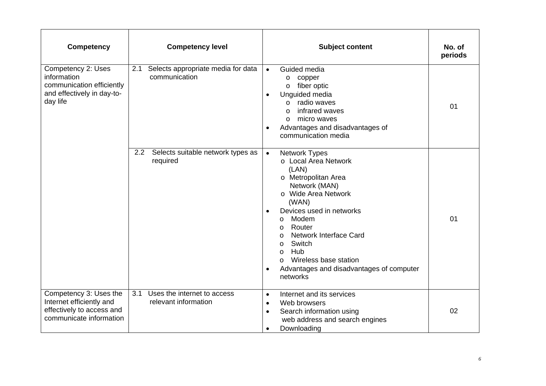| <b>Competency</b>                                                                                          | <b>Competency level</b>                                    | <b>Subject content</b>                                                                                                                                                                                                                                                                                                                                                                                                   | No. of<br>periods |
|------------------------------------------------------------------------------------------------------------|------------------------------------------------------------|--------------------------------------------------------------------------------------------------------------------------------------------------------------------------------------------------------------------------------------------------------------------------------------------------------------------------------------------------------------------------------------------------------------------------|-------------------|
| Competency 2: Uses<br>information<br>communication efficiently<br>and effectively in day-to-<br>day life   | Selects appropriate media for data<br>2.1<br>communication | Guided media<br>$\bullet$<br>copper<br>$\circ$<br>fiber optic<br>$\circ$<br>Unguided media<br>$\bullet$<br>radio waves<br>$\Omega$<br>infrared waves<br>$\circ$<br>micro waves<br>$\circ$<br>Advantages and disadvantages of<br>$\bullet$<br>communication media                                                                                                                                                         | 01                |
|                                                                                                            | Selects suitable network types as<br>2.2<br>required       | <b>Network Types</b><br>$\bullet$<br>o Local Area Network<br>(LAN)<br>o Metropolitan Area<br>Network (MAN)<br>o Wide Area Network<br>(WAN)<br>Devices used in networks<br>$\bullet$<br>Modem<br>$\circ$<br>Router<br>$\circ$<br><b>Network Interface Card</b><br>$\circ$<br>Switch<br>$\circ$<br>Hub<br>$\circ$<br>Wireless base station<br>$\circ$<br>Advantages and disadvantages of computer<br>$\bullet$<br>networks | 01                |
| Competency 3: Uses the<br>Internet efficiently and<br>effectively to access and<br>communicate information | Uses the internet to access<br>3.1<br>relevant information | Internet and its services<br>$\bullet$<br>Web browsers<br>$\bullet$<br>Search information using<br>$\bullet$<br>web address and search engines<br>Downloading<br>$\bullet$                                                                                                                                                                                                                                               | 02                |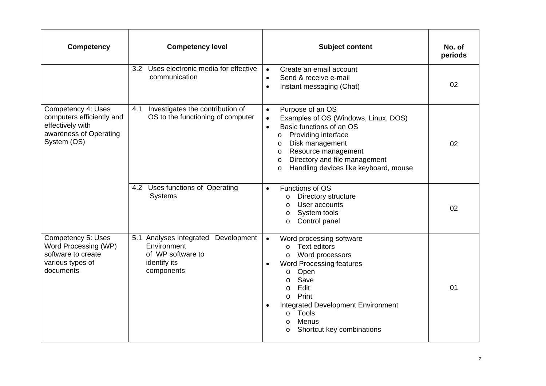| <b>Competency</b>                                                                                            | <b>Competency level</b>                                                                                  | <b>Subject content</b>                                                                                                                                                                                                                                                                                                             | No. of<br>periods |
|--------------------------------------------------------------------------------------------------------------|----------------------------------------------------------------------------------------------------------|------------------------------------------------------------------------------------------------------------------------------------------------------------------------------------------------------------------------------------------------------------------------------------------------------------------------------------|-------------------|
|                                                                                                              | Uses electronic media for effective<br>3.2<br>communication                                              | Create an email account<br>$\bullet$<br>Send & receive e-mail<br>$\bullet$<br>Instant messaging (Chat)<br>$\bullet$                                                                                                                                                                                                                | 02                |
| Competency 4: Uses<br>computers efficiently and<br>effectively with<br>awareness of Operating<br>System (OS) | 4.1<br>Investigates the contribution of<br>OS to the functioning of computer                             | Purpose of an OS<br>$\bullet$<br>Examples of OS (Windows, Linux, DOS)<br>$\bullet$<br>Basic functions of an OS<br>$\bullet$<br>Providing interface<br>$\circ$<br>Disk management<br>$\circ$<br>Resource management<br>O<br>Directory and file management<br>$\circ$<br>Handling devices like keyboard, mouse<br>$\circ$            | 02                |
|                                                                                                              | 4.2 Uses functions of Operating<br><b>Systems</b>                                                        | Functions of OS<br>$\bullet$<br>Directory structure<br>O<br>User accounts<br>$\circ$<br>System tools<br>O<br>Control panel<br>O                                                                                                                                                                                                    | 02                |
| Competency 5: Uses<br>Word Processing (WP)<br>software to create<br>various types of<br>documents            | 5.1 Analyses Integrated<br>Development<br>Environment<br>of WP software to<br>identify its<br>components | Word processing software<br>$\bullet$<br><b>Text editors</b><br>$\Omega$<br>Word processors<br>O<br><b>Word Processing features</b><br>$\bullet$<br>Open<br>O<br>Save<br>O<br>Edit<br>O<br>Print<br>$\circ$<br><b>Integrated Development Environment</b><br>Tools<br>$\circ$<br>Menus<br>$\circ$<br>Shortcut key combinations<br>O | 01                |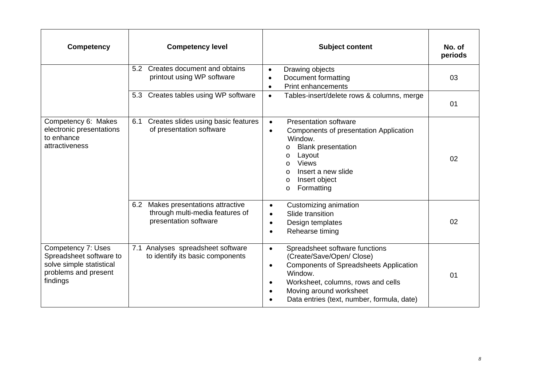| <b>Competency</b>                                                                                             | <b>Competency level</b>                                                                           | <b>Subject content</b>                                                                                                                                                                                                                                                                     | No. of<br>periods |
|---------------------------------------------------------------------------------------------------------------|---------------------------------------------------------------------------------------------------|--------------------------------------------------------------------------------------------------------------------------------------------------------------------------------------------------------------------------------------------------------------------------------------------|-------------------|
|                                                                                                               | 5.2 Creates document and obtains<br>printout using WP software                                    | Drawing objects<br>$\bullet$<br>Document formatting<br>$\bullet$<br><b>Print enhancements</b><br>$\bullet$                                                                                                                                                                                 | 03                |
|                                                                                                               | 5.3 Creates tables using WP software                                                              | Tables-insert/delete rows & columns, merge<br>$\bullet$                                                                                                                                                                                                                                    | 01                |
| Competency 6: Makes<br>electronic presentations<br>to enhance<br>attractiveness                               | Creates slides using basic features<br>6.1<br>of presentation software                            | <b>Presentation software</b><br>$\bullet$<br>Components of presentation Application<br>Window.<br><b>Blank presentation</b><br>O<br>Layout<br>O<br><b>Views</b><br>$\circ$<br>Insert a new slide<br>$\cap$<br>Insert object<br>$\circ$<br>Formatting<br>O                                  | 02                |
|                                                                                                               | Makes presentations attractive<br>6.2<br>through multi-media features of<br>presentation software | Customizing animation<br>Slide transition<br>Design templates<br>Rehearse timing                                                                                                                                                                                                           | 02                |
| Competency 7: Uses<br>Spreadsheet software to<br>solve simple statistical<br>problems and present<br>findings | Analyses spreadsheet software<br>7.1<br>to identify its basic components                          | Spreadsheet software functions<br>$\bullet$<br>(Create/Save/Open/ Close)<br><b>Components of Spreadsheets Application</b><br>$\bullet$<br>Window.<br>Worksheet, columns, rows and cells<br>$\bullet$<br>Moving around worksheet<br>$\bullet$<br>Data entries (text, number, formula, date) | 01                |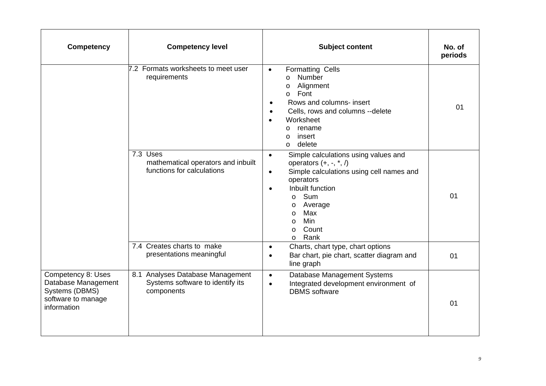| <b>Competency</b>                                                                                | <b>Competency level</b>                                                            | <b>Subject content</b>                                                                                                                                                                                                                                                                                         | No. of<br>periods |
|--------------------------------------------------------------------------------------------------|------------------------------------------------------------------------------------|----------------------------------------------------------------------------------------------------------------------------------------------------------------------------------------------------------------------------------------------------------------------------------------------------------------|-------------------|
|                                                                                                  | 7.2 Formats worksheets to meet user<br>requirements                                | <b>Formatting Cells</b><br>$\bullet$<br>Number<br>$\circ$<br>Alignment<br>$\circ$<br>Font<br>$\circ$<br>Rows and columns- insert<br>Cells, rows and columns --delete<br>Worksheet<br>rename<br>$\circ$<br>insert<br>$\circ$<br>delete<br>$\Omega$                                                              | 01                |
|                                                                                                  | 7.3 Uses<br>mathematical operators and inbuilt<br>functions for calculations       | Simple calculations using values and<br>$\bullet$<br>operators $(+, -, *, /)$<br>Simple calculations using cell names and<br>$\bullet$<br>operators<br>Inbuilt function<br>$\bullet$<br>Sum<br>$\circ$<br>Average<br>$\circ$<br>Max<br>$\circ$<br><b>Min</b><br>$\circ$<br>Count<br>$\circ$<br>Rank<br>$\circ$ | 01                |
|                                                                                                  | 7.4 Creates charts to make<br>presentations meaningful                             | Charts, chart type, chart options<br>$\bullet$<br>Bar chart, pie chart, scatter diagram and<br>$\bullet$<br>line graph                                                                                                                                                                                         | 01                |
| Competency 8: Uses<br>Database Management<br>Systems (DBMS)<br>software to manage<br>information | 8.1 Analyses Database Management<br>Systems software to identify its<br>components | Database Management Systems<br>$\bullet$<br>Integrated development environment of<br>$\bullet$<br><b>DBMS</b> software                                                                                                                                                                                         | 01                |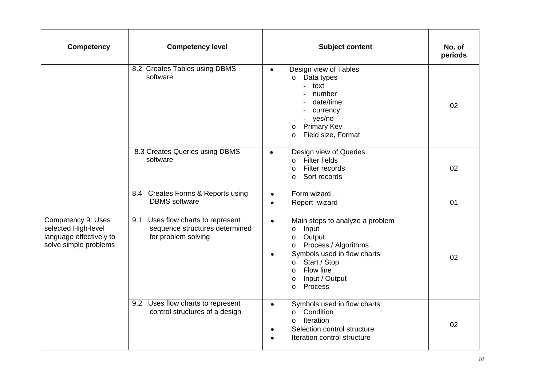| <b>Competency</b>                                                                             | <b>Competency level</b>                                                                       | <b>Subject content</b>                                                                                                                                                                                                                                             | No. of<br>periods |
|-----------------------------------------------------------------------------------------------|-----------------------------------------------------------------------------------------------|--------------------------------------------------------------------------------------------------------------------------------------------------------------------------------------------------------------------------------------------------------------------|-------------------|
|                                                                                               | 8.2 Creates Tables using DBMS<br>software                                                     | Design view of Tables<br>$\bullet$<br>Data types<br>$\circ$<br>text<br>$\overline{\phantom{0}}$<br>number<br>date/time<br>currency<br>- yes/no<br><b>Primary Key</b><br>$\circ$<br>Field size, Format<br>$\circ$                                                   | 02                |
|                                                                                               | 8.3 Creates Queries using DBMS<br>software                                                    | Design view of Queries<br>$\bullet$<br><b>Filter fields</b><br>$\Omega$<br>Filter records<br>$\Omega$<br>Sort records<br>$\circ$                                                                                                                                   | 02                |
|                                                                                               | 8.4 Creates Forms & Reports using<br><b>DBMS</b> software                                     | Form wizard<br>$\bullet$<br>Report wizard<br>$\bullet$                                                                                                                                                                                                             | 01                |
| Competency 9: Uses<br>selected High-level<br>language effectively to<br>solve simple problems | Uses flow charts to represent<br>9.1<br>sequence structures determined<br>for problem solving | Main steps to analyze a problem<br>$\bullet$<br>Input<br>$\circ$<br>Output<br>$\circ$<br>Process / Algorithms<br>$\circ$<br>Symbols used in flow charts<br>٠<br>Start / Stop<br>$\circ$<br>Flow line<br>$\circ$<br>Input / Output<br>$\circ$<br>Process<br>$\circ$ | 02                |
|                                                                                               | Uses flow charts to represent<br>9.2<br>control structures of a design                        | Symbols used in flow charts<br>$\bullet$<br>Condition<br>$\circ$<br>Iteration<br>$\circ$<br>Selection control structure<br>٠<br>Iteration control structure                                                                                                        | 02                |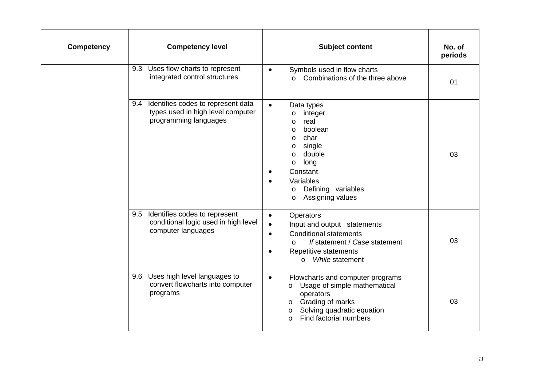| <b>Competency</b> | <b>Competency level</b>                                                                              | <b>Subject content</b>                                                                                                                                                                                                                                          | No. of<br>periods |
|-------------------|------------------------------------------------------------------------------------------------------|-----------------------------------------------------------------------------------------------------------------------------------------------------------------------------------------------------------------------------------------------------------------|-------------------|
|                   | Uses flow charts to represent<br>9.3<br>integrated control structures                                | Symbols used in flow charts<br>$\bullet$<br>Combinations of the three above<br>$\Omega$                                                                                                                                                                         | 01                |
|                   | 9.4 Identifies codes to represent data<br>types used in high level computer<br>programming languages | $\bullet$<br>Data types<br>integer<br>$\circ$<br>real<br>$\circ$<br>boolean<br>$\circ$<br>char<br>$\circ$<br>single<br>$\circ$<br>double<br>$\circ$<br>long<br>$\circ$<br>Constant<br>Variables<br>Defining variables<br>$\circ$<br>Assigning values<br>$\circ$ | 03                |
|                   | Identifies codes to represent<br>9.5<br>conditional logic used in high level<br>computer languages   | Operators<br>$\bullet$<br>Input and output statements<br>$\bullet$<br><b>Conditional statements</b><br>$\bullet$<br>If statement / Case statement<br>$\circ$<br>Repetitive statements<br>$\bullet$<br>While statement<br>$\Omega$                               | 03                |
|                   | Uses high level languages to<br>9.6<br>convert flowcharts into computer<br>programs                  | Flowcharts and computer programs<br>$\bullet$<br>Usage of simple mathematical<br>$\circ$<br>operators<br>Grading of marks<br>$\circ$<br>Solving quadratic equation<br>O<br>Find factorial numbers                                                               | 03                |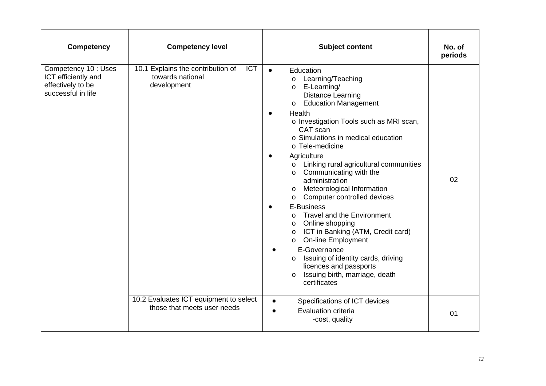| <b>Competency</b>                                                                      | <b>Competency level</b>                                                            | <b>Subject content</b>                                                                                                                                                                                                                                                                                                                                                                                                                                                                                                                                                                                                                                                                                                                                                                                                                                  | No. of<br>periods |
|----------------------------------------------------------------------------------------|------------------------------------------------------------------------------------|---------------------------------------------------------------------------------------------------------------------------------------------------------------------------------------------------------------------------------------------------------------------------------------------------------------------------------------------------------------------------------------------------------------------------------------------------------------------------------------------------------------------------------------------------------------------------------------------------------------------------------------------------------------------------------------------------------------------------------------------------------------------------------------------------------------------------------------------------------|-------------------|
| Competency 10 : Uses<br>ICT efficiently and<br>effectively to be<br>successful in life | <b>ICT</b><br>10.1 Explains the contribution of<br>towards national<br>development | Education<br>$\bullet$<br>Learning/Teaching<br>$\circ$<br>E-Learning/<br>$\circ$<br><b>Distance Learning</b><br><b>Education Management</b><br>$\circ$<br>Health<br>$\bullet$<br>o Investigation Tools such as MRI scan,<br>CAT scan<br>o Simulations in medical education<br>o Tele-medicine<br>Agriculture<br>$\bullet$<br>Linking rural agricultural communities<br>$\circ$<br>Communicating with the<br>$\circ$<br>administration<br>o Meteorological Information<br>Computer controlled devices<br>$\circ$<br>E-Business<br><b>Travel and the Environment</b><br>$\Omega$<br>o Online shopping<br>o ICT in Banking (ATM, Credit card)<br><b>On-line Employment</b><br>$\circ$<br>E-Governance<br>$\bullet$<br>Issuing of identity cards, driving<br>$\circ$<br>licences and passports<br>Issuing birth, marriage, death<br>$\circ$<br>certificates | 02                |
|                                                                                        | 10.2 Evaluates ICT equipment to select<br>those that meets user needs              | Specifications of ICT devices<br><b>Evaluation criteria</b><br>$\bullet$<br>-cost, quality                                                                                                                                                                                                                                                                                                                                                                                                                                                                                                                                                                                                                                                                                                                                                              | 01                |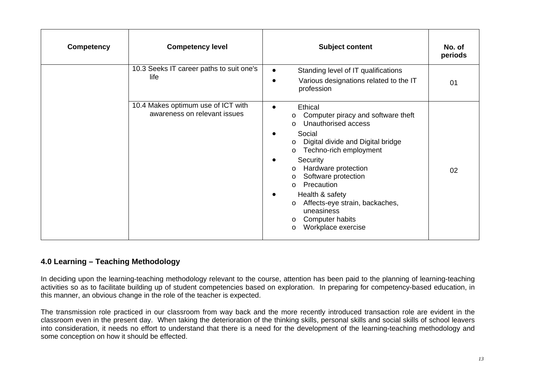| <b>Competency</b> | <b>Competency level</b>                                            | <b>Subject content</b>                                                                                                                                                                                                                                                                                                                                                                                                                                | No. of<br>periods |
|-------------------|--------------------------------------------------------------------|-------------------------------------------------------------------------------------------------------------------------------------------------------------------------------------------------------------------------------------------------------------------------------------------------------------------------------------------------------------------------------------------------------------------------------------------------------|-------------------|
|                   | 10.3 Seeks IT career paths to suit one's<br>life                   | Standing level of IT qualifications<br>$\bullet$<br>Various designations related to the IT<br>c<br>profession                                                                                                                                                                                                                                                                                                                                         | 01                |
|                   | 10.4 Makes optimum use of ICT with<br>awareness on relevant issues | Ethical<br>Computer piracy and software theft<br>$\circ$<br>Unauthorised access<br>$\Omega$<br>Social<br>Digital divide and Digital bridge<br>$\circ$<br>Techno-rich employment<br>$\circ$<br>Security<br>Hardware protection<br>$\circ$<br>Software protection<br>$\circ$<br>Precaution<br>$\Omega$<br>Health & safety<br>$\bullet$<br>Affects-eye strain, backaches,<br>$\circ$<br>uneasiness<br>o Computer habits<br>Workplace exercise<br>$\circ$ | 02                |

## **4.0 Learning – Teaching Methodology**

In deciding upon the learning-teaching methodology relevant to the course, attention has been paid to the planning of learning-teaching activities so as to facilitate building up of student competencies based on exploration. In preparing for competency-based education, in this manner, an obvious change in the role of the teacher is expected.

The transmission role practiced in our classroom from way back and the more recently introduced transaction role are evident in the classroom even in the present day. When taking the deterioration of the thinking skills, personal skills and social skills of school leavers into consideration, it needs no effort to understand that there is a need for the development of the learning-teaching methodology and some conception on how it should be effected.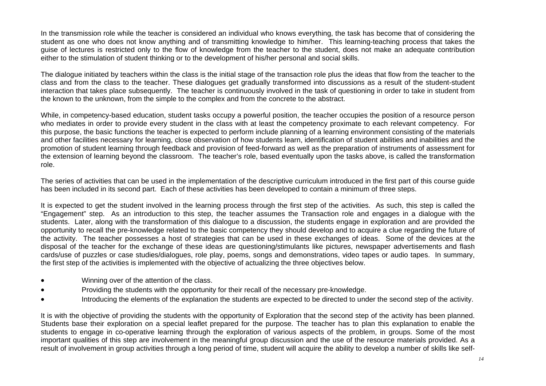In the transmission role while the teacher is considered an individual who knows everything, the task has become that of considering the student as one who does not know anything and of transmitting knowledge to him/her. This learning-teaching process that takes the guise of lectures is restricted only to the flow of knowledge from the teacher to the student, does not make an adequate contribution either to the stimulation of student thinking or to the development of his/her personal and social skills.

The dialogue initiated by teachers within the class is the initial stage of the transaction role plus the ideas that flow from the teacher to the class and from the class to the teacher. These dialogues get gradually transformed into discussions as a result of the student-student interaction that takes place subsequently. The teacher is continuously involved in the task of questioning in order to take in student from the known to the unknown, from the simple to the complex and from the concrete to the abstract.

While, in competency-based education, student tasks occupy a powerful position, the teacher occupies the position of a resource person who mediates in order to provide every student in the class with at least the competency proximate to each relevant competency. For this purpose, the basic functions the teacher is expected to perform include planning of a learning environment consisting of the materials and other facilities necessary for learning, close observation of how students learn, identification of student abilities and inabilities and the promotion of student learning through feedback and provision of feed-forward as well as the preparation of instruments of assessment for the extension of learning beyond the classroom. The teacher's role, based eventually upon the tasks above, is called the transformation role.

The series of activities that can be used in the implementation of the descriptive curriculum introduced in the first part of this course guide has been included in its second part. Each of these activities has been developed to contain a minimum of three steps.

It is expected to get the student involved in the learning process through the first step of the activities. As such, this step is called the "Engagement" step. As an introduction to this step, the teacher assumes the Transaction role and engages in a dialogue with the students. Later, along with the transformation of this dialogue to a discussion, the students engage in exploration and are provided the opportunity to recall the pre-knowledge related to the basic competency they should develop and to acquire a clue regarding the future of the activity. The teacher possesses a host of strategies that can be used in these exchanges of ideas. Some of the devices at the disposal of the teacher for the exchange of these ideas are questioning/stimulants like pictures, newspaper advertisements and flash cards/use of puzzles or case studies/dialogues, role play, poems, songs and demonstrations, video tapes or audio tapes. In summary, the first step of the activities is implemented with the objective of actualizing the three objectives below.

- •Winning over of the attention of the class.
- •Providing the students with the opportunity for their recall of the necessary pre-knowledge.
- •Introducing the elements of the explanation the students are expected to be directed to under the second step of the activity.

It is with the objective of providing the students with the opportunity of Exploration that the second step of the activity has been planned. Students base their exploration on a special leaflet prepared for the purpose. The teacher has to plan this explanation to enable the students to engage in co-operative learning through the exploration of various aspects of the problem, in groups. Some of the most important qualities of this step are involvement in the meaningful group discussion and the use of the resource materials provided. As a result of involvement in group activities through a long period of time, student will acquire the ability to develop a number of skills like self-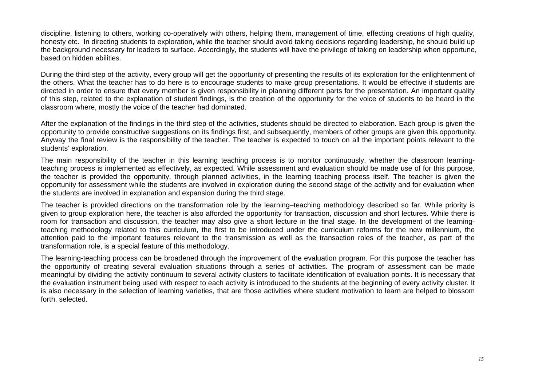discipline, listening to others, working co-operatively with others, helping them, management of time, effecting creations of high quality, honesty etc. In directing students to exploration, while the teacher should avoid taking decisions regarding leadership, he should build up the background necessary for leaders to surface. Accordingly, the students will have the privilege of taking on leadership when opportune, based on hidden abilities.

During the third step of the activity, every group will get the opportunity of presenting the results of its exploration for the enlightenment of the others. What the teacher has to do here is to encourage students to make group presentations. It would be effective if students are directed in order to ensure that every member is given responsibility in planning different parts for the presentation. An important quality of this step, related to the explanation of student findings, is the creation of the opportunity for the voice of students to be heard in the classroom where, mostly the voice of the teacher had dominated.

After the explanation of the findings in the third step of the activities, students should be directed to elaboration. Each group is given the opportunity to provide constructive suggestions on its findings first, and subsequently, members of other groups are given this opportunity. Anyway the final review is the responsibility of the teacher. The teacher is expected to touch on all the important points relevant to the students' exploration.

The main responsibility of the teacher in this learning teaching process is to monitor continuously, whether the classroom learningteaching process is implemented as effectively, as expected. While assessment and evaluation should be made use of for this purpose, the teacher is provided the opportunity, through planned activities, in the learning teaching process itself. The teacher is given the opportunity for assessment while the students are involved in exploration during the second stage of the activity and for evaluation when the students are involved in explanation and expansion during the third stage.

The teacher is provided directions on the transformation role by the learning–teaching methodology described so far. While priority is given to group exploration here, the teacher is also afforded the opportunity for transaction, discussion and short lectures. While there is room for transaction and discussion, the teacher may also give a short lecture in the final stage. In the development of the learningteaching methodology related to this curriculum, the first to be introduced under the curriculum reforms for the new millennium, the attention paid to the important features relevant to the transmission as well as the transaction roles of the teacher, as part of the transformation role, is a special feature of this methodology.

The learning-teaching process can be broadened through the improvement of the evaluation program. For this purpose the teacher has the opportunity of creating several evaluation situations through a series of activities. The program of assessment can be made meaningful by dividing the activity continuum to several activity clusters to facilitate identification of evaluation points. It is necessary that the evaluation instrument being used with respect to each activity is introduced to the students at the beginning of every activity cluster. It is also necessary in the selection of learning varieties, that are those activities where student motivation to learn are helped to blossom forth, selected.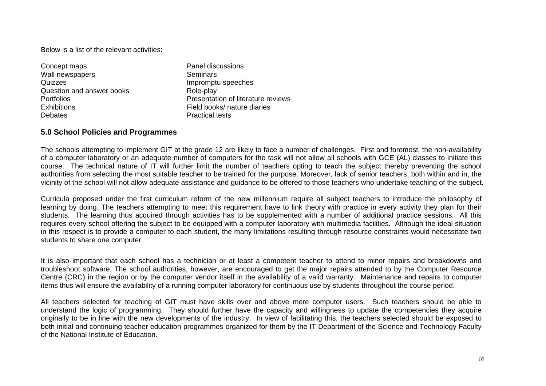Below is a list of the relevant activities:

| Concept maps              | Panel discussions                  |
|---------------------------|------------------------------------|
| Wall newspapers           | Seminars                           |
| Quizzes                   | Impromptu speeches                 |
| Question and answer books | Role-play                          |
| <b>Portfolios</b>         | Presentation of literature reviews |
| <b>Exhibitions</b>        | Field books/ nature diaries        |
| <b>Debates</b>            | <b>Practical tests</b>             |

### **5.0 School Policies and Programmes**

The schools attempting to implement GIT at the grade 12 are likely to face a number of challenges. First and foremost, the non-availability of a computer laboratory or an adequate number of computers for the task will not allow all schools with GCE (AL) classes to initiate this course. The technical nature of IT will further limit the number of teachers opting to teach the subject thereby preventing the school authorities from selecting the most suitable teacher to be trained for the purpose. Moreover, lack of senior teachers, both within and in, the vicinity of the school will not allow adequate assistance and guidance to be offered to those teachers who undertake teaching of the subject.

Curricula proposed under the first curriculum reform of the new millennium require all subject teachers to introduce the philosophy of learning by doing. The teachers attempting to meet this requirement have to link theory with practice in every activity they plan for their students. The learning thus acquired through activities has to be supplemented with a number of additional practice sessions. All this requires every school offering the subject to be equipped with a computer laboratory with multimedia facilities. Although the ideal situation in this respect is to provide a computer to each student, the many limitations resulting through resource constraints would necessitate two students to share one computer.

It is also important that each school has a technician or at least a competent teacher to attend to minor repairs and breakdowns and troubleshoot software. The school authorities, however, are encouraged to get the major repairs attended to by the Computer Resource Centre (CRC) in the region or by the computer vendor itself in the availability of a valid warranty. Maintenance and repairs to computer items thus will ensure the availability of a running computer laboratory for continuous use by students throughout the course period.

All teachers selected for teaching of GIT must have skills over and above mere computer users. Such teachers should be able to understand the logic of programming. They should further have the capacity and willingness to update the competencies they acquire originally to be in line with the new developments of the industry. In view of facilitating this, the teachers selected should be exposed to both initial and continuing teacher education programmes organized for them by the IT Department of the Science and Technology Faculty of the National Institute of Education.